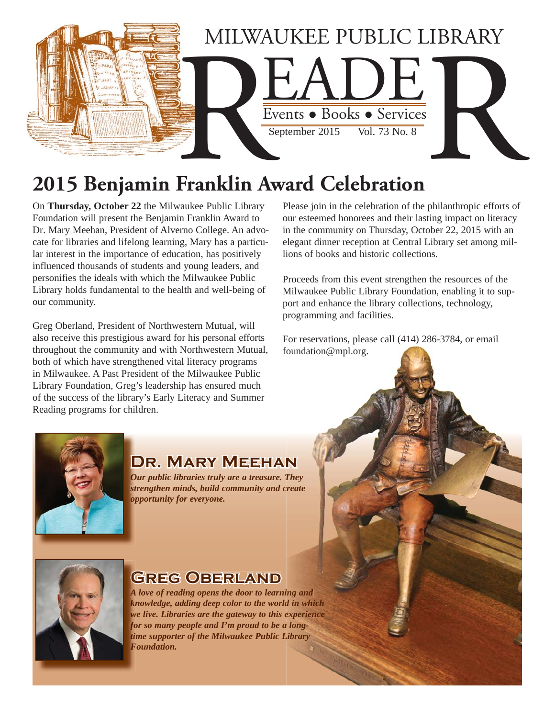

# **2015 Benjamin Franklin Award Celebration**

On **Thursday, October 22** the Milwaukee Public Library Foundation will present the Benjamin Franklin Award to Dr. Mary Meehan, President of Alverno College. An advocate for libraries and lifelong learning, Mary has a particular interest in the importance of education, has positively influenced thousands of students and young leaders, and personifies the ideals with which the Milwaukee Public Library holds fundamental to the health and well-being of our community.

Greg Oberland, President of Northwestern Mutual, will also receive this prestigious award for his personal efforts throughout the community and with Northwestern Mutual, both of which have strengthened vital literacy programs in Milwaukee. A Past President of the Milwaukee Public Library Foundation, Greg's leadership has ensured much of the success of the library's Early Literacy and Summer Reading programs for children.

Please join in the celebration of the philanthropic efforts of our esteemed honorees and their lasting impact on literacy in the community on Thursday, October 22, 2015 with an elegant dinner reception at Central Library set among millions of books and historic collections.

Proceeds from this event strengthen the resources of the Milwaukee Public Library Foundation, enabling it to support and enhance the library collections, technology, programming and facilities.

For reservations, please call (414) 286-3784, or email foundation@mpl.org.



### **Dr. Mary Meehan**

*Our public libraries truly are a treasure. They strengthen minds, build community and create st opportunity for everyone. op*



### **Greg Oberland G**

*A love of reading opens the door to learning and A knowledge, adding deep color to the world in which kn* we live. Libraries are the gateway to this experience *for so many people and I'm proud to be a long-fo time supporter of the Milwaukee Public Library ti Foundation. F*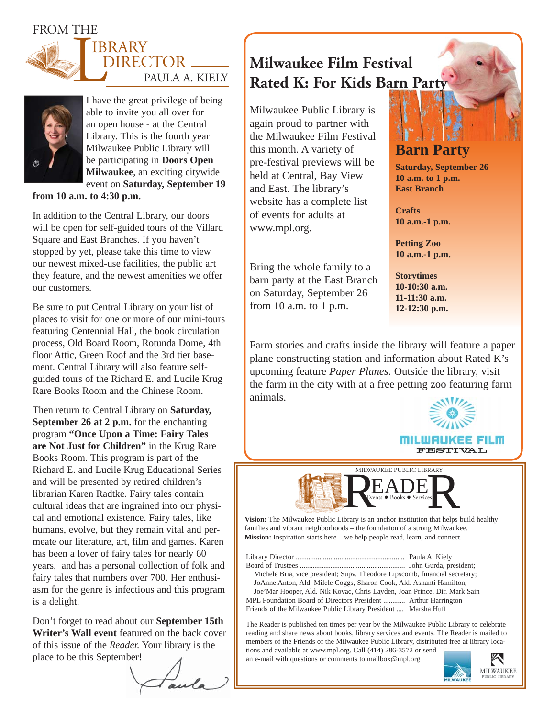#### FROM THE





I have the great privilege of being able to invite you all over for an open house - at the Central Library. This is the fourth year Milwaukee Public Library will be participating in **Doors Open Milwaukee**, an exciting citywide event on **Saturday, September 19** 

**from 10 a.m. to 4:30 p.m.**

In addition to the Central Library, our doors will be open for self-guided tours of the Villard Square and East Branches. If you haven't stopped by yet, please take this time to view our newest mixed-use facilities, the public art they feature, and the newest amenities we offer our customers.

Be sure to put Central Library on your list of places to visit for one or more of our mini-tours featuring Centennial Hall, the book circulation process, Old Board Room, Rotunda Dome, 4th floor Attic, Green Roof and the 3rd tier basement. Central Library will also feature selfguided tours of the Richard E. and Lucile Krug Rare Books Room and the Chinese Room.

Then return to Central Library on **Saturday, September 26 at 2 p.m.** for the enchanting program **"Once Upon a Time: Fairy Tales are Not Just for Children"** in the Krug Rare Books Room. This program is part of the Richard E. and Lucile Krug Educational Series and will be presented by retired children's librarian Karen Radtke. Fairy tales contain cultural ideas that are ingrained into our physical and emotional existence. Fairy tales, like humans, evolve, but they remain vital and permeate our literature, art, film and games. Karen has been a lover of fairy tales for nearly 60 years, and has a personal collection of folk and fairy tales that numbers over 700. Her enthusiasm for the genre is infectious and this program is a delight.

Don't forget to read about our **September 15th**  Writer's Wall event featured on the back cover of this issue of the *Reader.* Your library is the place to be this September!

## **Milwaukee Film Festival Rated K: For Kids Barn Party**

Milwaukee Public Library is again proud to partner with the Milwaukee Film Festival this month. A variety of pre-festival previews will be held at Central, Bay View and East. The library's website has a complete list of events for adults at www.mpl.org.

Bring the whole family to a barn party at the East Branch on Saturday, September 26 from 10 a.m. to 1 p.m.

**Barn Party**

**Saturday, September 26 10 a.m. to 1 p.m. East Branch**

**Crafts 10 a.m.-1 p.m.**

**Petting Zoo 10 a.m.-1 p.m.**

**Storytimes 10-10:30 a.m. 11-11:30 a.m. 12-12:30 p.m.**

Farm stories and crafts inside the library will feature a paper plane constructing station and information about Rated K's upcoming feature *Paper Planes*. Outside the library, visit the farm in the city with at a free petting zoo featuring farm animals.



MILWAUKEE PUBLIC LIBRARY MILWAUK AUKEE PUBLIC LIBRARY<br>
EADE

**Vision:** The Milwaukee Public Library is an anchor institution that helps build healthy families and vibrant neighborhoods – the foundation of a strong Milwaukee. **Mission:** Inspiration starts here – we help people read, learn, and connect.

Library Director ............................................................ Paula A. Kiely Board of Trustees .......................................................... John Gurda, president; Michele Bria, vice president; Supv. Theodore Lipscomb, financial secretary; JoAnne Anton, Ald. Milele Coggs, Sharon Cook, Ald. Ashanti Hamilton, Joe'Mar Hooper, Ald. Nik Kovac, Chris Layden, Joan Prince, Dir. Mark Sain MPL Foundation Board of Directors President ............ Arthur Harrington Friends of the Milwaukee Public Library President .... Marsha Huff

The Reader is published ten times per year by the Milwaukee Public Library to celebrate reading and share news about books, library services and events. The Reader is mailed to members of the Friends of the Milwaukee Public Library, distributed free at library locations and available at www.mpl.org. Call (414) 286-3572 or send

an e-mail with questions or comments to mailbox@mpl.org

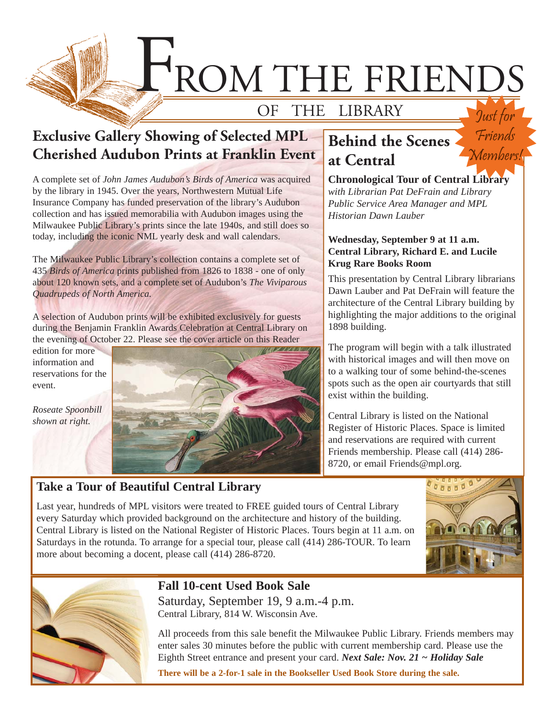

### **Exclusive Gallery Showing of Selected MPL Cherished Audubon Prints at Franklin Event**

A complete set of *John James Audubon's Birds of America* was acquired by the library in 1945. Over the years, Northwestern Mutual Life Insurance Company has funded preservation of the library's Audubon collection and has issued memorabilia with Audubon images using the Milwaukee Public Library's prints since the late 1940s, and still does so today, including the iconic NML yearly desk and wall calendars.

The Milwaukee Public Library's collection contains a complete set of 435 *Birds of America* prints published from 1826 to 1838 - one of only about 120 known sets, and a complete set of Audubon's *The Viviparous Quadrupeds of North America.*

A selection of Audubon prints will be exhibited exclusively for guests during the Benjamin Franklin Awards Celebration at Central Library on the evening of October 22. Please see the cover article on this Reader

edition for more information and reservations for the event.

*Roseate Spoonbill shown at right.*



### **Take a Tour of Beautiful Central Library**

## **Behind the Scenes at Central**

**Chronological Tour of Central Library**  *with Librarian Pat DeFrain and Library Public Service Area Manager and MPL Historian Dawn Lauber*

Friends

Members!

#### **Wednesday, September 9 at 11 a.m. Central Library, Richard E. and Lucile Krug Rare Books Room**

This presentation by Central Library librarians Dawn Lauber and Pat DeFrain will feature the architecture of the Central Library building by highlighting the major additions to the original 1898 building.

The program will begin with a talk illustrated with historical images and will then move on to a walking tour of some behind-the-scenes spots such as the open air courtyards that still exist within the building.

Central Library is listed on the National Register of Historic Places. Space is limited and reservations are required with current Friends membership. Please call (414) 286- 8720, or email Friends@mpl.org.

Last year, hundreds of MPL visitors were treated to FREE guided tours of Central Library every Saturday which provided background on the architecture and history of the building. Central Library is listed on the National Register of Historic Places. Tours begin at 11 a.m. on Saturdays in the rotunda. To arrange for a special tour, please call (414) 286-TOUR. To learn more about becoming a docent, please call (414) 286-8720.





## **Fall 10-cent Used Book Sale**

Saturday, September 19, 9 a.m.-4 p.m. Central Library, 814 W. Wisconsin Ave.

All proceeds from this sale benefit the Milwaukee Public Library. Friends members may enter sales 30 minutes before the public with current membership card. Please use the Eighth Street entrance and present your card. *Next Sale: Nov. 21 ~ Holiday Sale*

**There will be a 2-for-1 sale in the Bookseller Used Book Store during the sale.**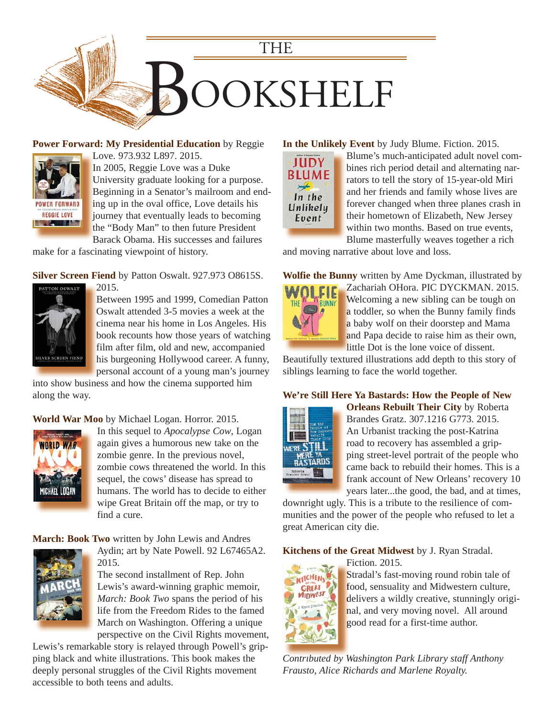

**[Power Forward: My Presidential Education](https://encore.mcfls.org/iii/encore/record/C__Rb3809355)** by Reggie



Love. 973.932 L897. 2015. L In 2005, Reggie Love was a Duke University graduate looking for a purpose. U Beginning in a Senator's mailroom and end-B ing up in the oval office, Love details his i

journey that eventually leads to becoming j the "Body Man" to then future President Barack Obama. His successes and failures B

make for a fascinating viewpoint of history.

**Silver Screen Fiend** by Patton Oswalt. 927.973 O8615S.



2015. 2 Between 1995 and 1999, Comedian Patton B Oswalt attended 3-5 movies a week at the O cinema near his home in Los Angeles. His c book recounts how those years of watching b film after film, old and new, accompanied f his burgeoning Hollywood career. A funny, h personal account of a young man's journey p

[into show business and how the cinema supported him](https://encore.mcfls.org/iii/encore/record/C__Rb3792619)  along the way.

**World War Moo** by Michael Logan. Horror. 2015.



In this sequel to *Apocalypse Cow*, Logan again gives a humorous new take on the zombie genre. In the previous novel, zombie cows threatened the world. In this sequel, the cows' disease has spread to [humans. The world has to decide to either](https://encore.mcfls.org/iii/encore/record/C__Rb3828615)  wipe Great Britain off the map, or try to find a cure.

**March: Book Two** written by John Lewis and Andres



2015. The second installment of Rep. John Lewis's award-winning graphic memoir, *March: Book Two* spans the period of his life from the Freedom Rides to the famed March on Washington. Offering a unique perspective on the Civil Rights movement,

Aydin; art by Nate Powell. 92 L67465A2.

[Lewis's remarkable story is relayed through Powell's grip](https://encore.mcfls.org/iii/encore/record/C__Rb3805365)ping black and white illustrations. This book makes the deeply personal struggles of the Civil Rights movement accessible to both teens and adults.

#### **In the Unlikely Event** by Judy Blume. Fiction. 2015.



Blume's much-anticipated adult novel combines rich period detail and alternating narrators to tell the story of 15-year-old Miri and her friends and family whose lives are [forever changed when three planes crash in](https://encore.mcfls.org/iii/encore/record/C__Rb3825449)  their hometown of Elizabeth, New Jersey within two months. Based on true events, Blume masterfully weaves together a rich

and moving narrative about love and loss.

**Wolfie the Bunny** written by Ame Dyckman, illustrated by



Zachariah OHora. PIC DYCKMAN. 2015. Z Welcoming a new sibling can be tough on W a toddler, so when the Bunny family finds a baby wolf on their doorstep and Mama and Papa decide to raise him as their own, little Dot is the lone voice of dissent.

[Beautifully textured illustrations add depth to this story of](https://encore.mcfls.org/iii/encore/record/C__Rb3808242)  siblings learning to face the world together.

#### **We're Still Here Ya Bastards: How the People of New**



**Orleans Rebuilt Their City** by Roberta Brandes Gratz. 307.1216 G773. 2015. An Urbanist tracking the post-Katrina road to recovery has assembled a gripping street-level portrait of the people who came back to rebuild their homes. This is a frank account of New Orleans' recovery 10 years later...the good, the bad, and at times,

downright ugly. This is a tribute to the resilience of com[munities and the power of the people who refused to let a](https://encore.mcfls.org/iii/encore/record/C__Rb3837515)  great American city die.

**Kitchens of the Great Midwest** by J. Ryan Stradal.



Fiction. 2015. F Stradal's fast-moving round robin tale of food, sensuality and Midwestern culture, f

delivers a wildly creative, stunningly original, and very moving novel. All around good read for a first-time author. g

*Contributed by Washington Park Library staff Anthony Frausto, Alice Richards and Marlene Royalty.*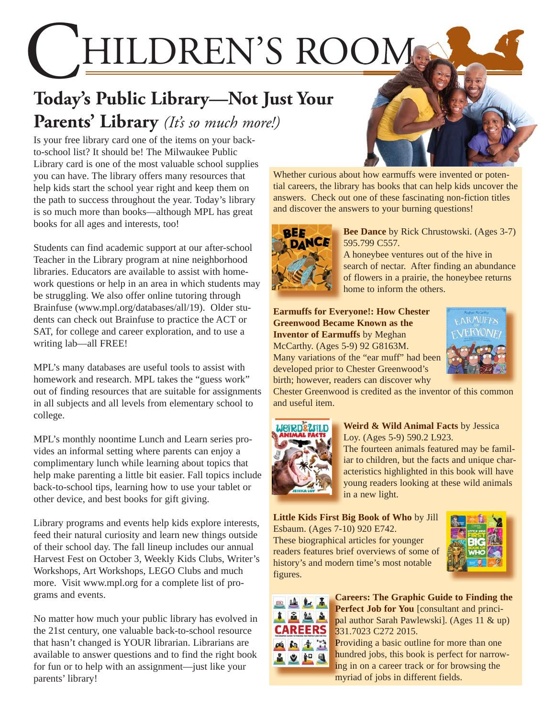HILDREN'S ROOM

# **Today's Public Library—Not Just Your Parents' Library** *(It's so much more!)*

Is your free library card one of the items on your backto-school list? It should be! The Milwaukee Public Library card is one of the most valuable school supplies you can have. The library offers many resources that help kids start the school year right and keep them on the path to success throughout the year. Today's library is so much more than books—although MPL has great books for all ages and interests, too!

Students can find academic support at our after-school Teacher in the Library program at nine neighborhood libraries. Educators are available to assist with homework questions or help in an area in which students may be struggling. We also offer online tutoring through [Brainfuse \(www.mpl.org/databases/all/19\).](http://www.mpl.org/databases/all/19) Older students can check out Brainfuse to practice the ACT or SAT, for college and career exploration, and to use a writing lab—all FREE!

MPL's many databases are useful tools to assist with homework and research. MPL takes the "guess work" out of finding resources that are suitable for assignments in all subjects and all levels from elementary school to college.

MPL's monthly noontime Lunch and Learn series provides an informal setting where parents can enjoy a complimentary lunch while learning about topics that help make parenting a little bit easier. Fall topics include back-to-school tips, learning how to use your tablet or other device, and best books for gift giving.

Library programs and events help kids explore interests, feed their natural curiosity and learn new things outside of their school day. The fall lineup includes our annual Harvest Fest on October 3, Weekly Kids Clubs, Writer's Workshops, Art Workshops, LEGO Clubs and much more. Visit www.mpl.org for a complete list of programs and events.

No matter how much your public library has evolved in the 21st century, one valuable back-to-school resource that hasn't changed is YOUR librarian. Librarians are available to answer questions and to find the right book for fun or to help with an assignment—just like your parents' library!

Whether curious about how earmuffs were invented or potential careers, the library has books that can help kids uncover the answers. Check out one of these fascinating non-fiction titles and discover the answers to your burning questions!



**Bee Dance** by Rick Chrustowski. (Ages 3-7) 595.799 C557.

A honeybee ventures out of the hive in [search of nectar. After finding an abundance](https://encore.mcfls.org/iii/encore/record/C__Rb3824196)  of flowers in a prairie, the honeybee returns home to inform the others.

#### **Earmuffs for Everyone!: How Chester Greenwood Became Known as the Inventor of Earmuffs** by Meghan

McCarthy. (Ages 5-9) 92 G8163M. Many variations of the "ear muff" had been developed prior to Chester Greenwood's birth; however, readers can discover why



[Chester Greenwood is credited as the inventor of this common](https://encore.mcfls.org/iii/encore/record/C__Rb3794199)  and useful item.



**Weird & Wild Animal Facts** by Jessica Loy. (Ages 5-9) 590.2 L923.

The fourteen animals featured may be famil[iar to children, but the facts and unique char](https://encore.mcfls.org/iii/encore/record/C__Rb3794180)acteristics highlighted in this book will have young readers looking at these wild animals in a new light.

**Little Kids First Big Book of Who** by Jill Esbaum. (Ages 7-10) 920 E742.

These biographical articles for younger [readers features brief overviews of some of](https://encore.mcfls.org/iii/encore/record/C__Rb3810666)  history's and modern time's most notable figures.





**Careers: The Graphic Guide to Finding the** Perfect Job for You [consultant and principal author Sarah Pawlewski]. (Ages 11 & up) 331.7023 C272 2015. 33

Providing a basic outline for more than one hundred jobs, this book is perfect for narrow-hu ing in on a career track or for browsing the myriad of jobs in different fields. m